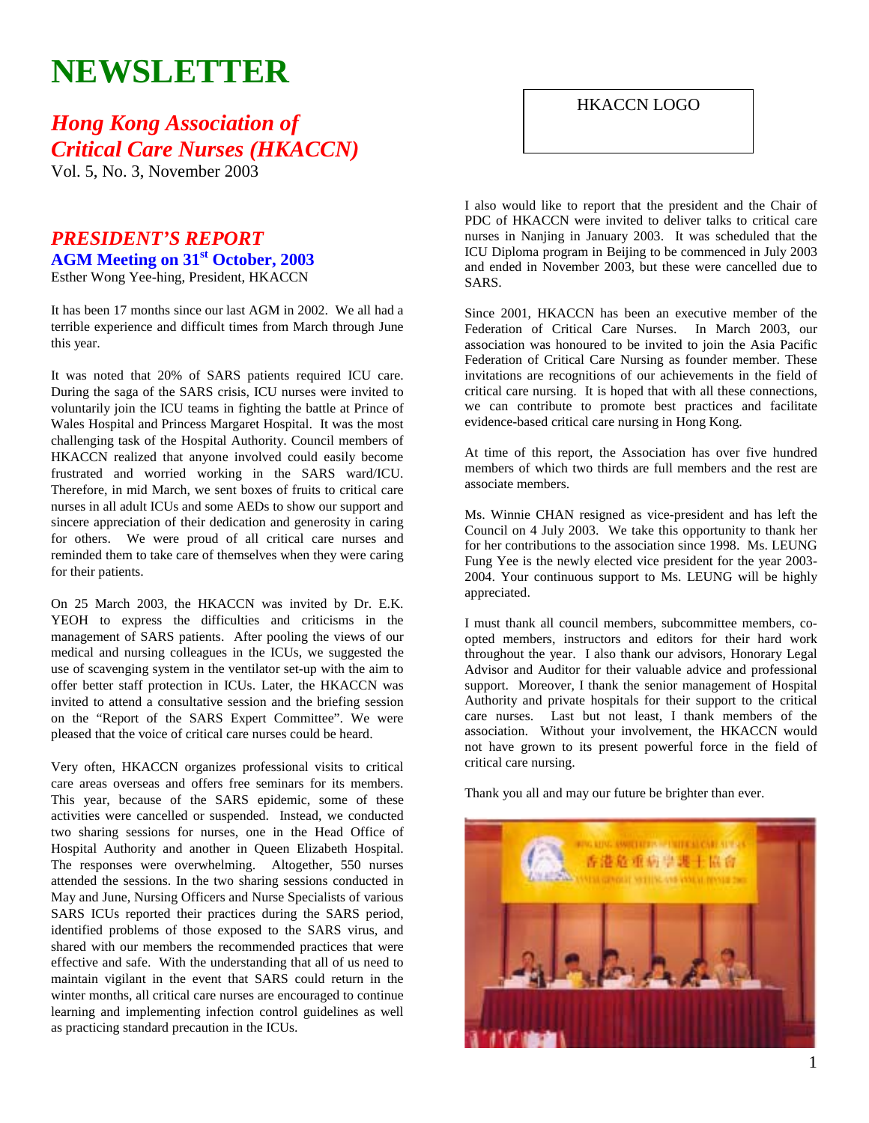# **NEWSLETTER**

## *Hong Kong Association of Critical Care Nurses (HKACCN)*

Vol. 5, No. 3, November 2003

## *PRESIDENT'S REPORT*  **AGM Meeting on 31st October, 2003**  Esther Wong Yee-hing, President, HKACCN

It has been 17 months since our last AGM in 2002. We all had a terrible experience and difficult times from March through June this year.

It was noted that 20% of SARS patients required ICU care. During the saga of the SARS crisis, ICU nurses were invited to voluntarily join the ICU teams in fighting the battle at Prince of Wales Hospital and Princess Margaret Hospital. It was the most challenging task of the Hospital Authority. Council members of HKACCN realized that anyone involved could easily become frustrated and worried working in the SARS ward/ICU. Therefore, in mid March, we sent boxes of fruits to critical care nurses in all adult ICUs and some AEDs to show our support and sincere appreciation of their dedication and generosity in caring for others. We were proud of all critical care nurses and reminded them to take care of themselves when they were caring for their patients.

On 25 March 2003, the HKACCN was invited by Dr. E.K. YEOH to express the difficulties and criticisms in the management of SARS patients. After pooling the views of our medical and nursing colleagues in the ICUs, we suggested the use of scavenging system in the ventilator set-up with the aim to offer better staff protection in ICUs. Later, the HKACCN was invited to attend a consultative session and the briefing session on the "Report of the SARS Expert Committee". We were pleased that the voice of critical care nurses could be heard.

Very often, HKACCN organizes professional visits to critical care areas overseas and offers free seminars for its members. This year, because of the SARS epidemic, some of these activities were cancelled or suspended. Instead, we conducted two sharing sessions for nurses, one in the Head Office of Hospital Authority and another in Queen Elizabeth Hospital. The responses were overwhelming. Altogether, 550 nurses attended the sessions. In the two sharing sessions conducted in May and June, Nursing Officers and Nurse Specialists of various SARS ICUs reported their practices during the SARS period, identified problems of those exposed to the SARS virus, and shared with our members the recommended practices that were effective and safe. With the understanding that all of us need to maintain vigilant in the event that SARS could return in the winter months, all critical care nurses are encouraged to continue learning and implementing infection control guidelines as well as practicing standard precaution in the ICUs.

HKACCN LOGO

I also would like to report that the president and the Chair of PDC of HKACCN were invited to deliver talks to critical care nurses in Nanjing in January 2003. It was scheduled that the ICU Diploma program in Beijing to be commenced in July 2003 and ended in November 2003, but these were cancelled due to SARS.

Since 2001, HKACCN has been an executive member of the Federation of Critical Care Nurses. In March 2003, our association was honoured to be invited to join the Asia Pacific Federation of Critical Care Nursing as founder member. These invitations are recognitions of our achievements in the field of critical care nursing. It is hoped that with all these connections, we can contribute to promote best practices and facilitate evidence-based critical care nursing in Hong Kong.

At time of this report, the Association has over five hundred members of which two thirds are full members and the rest are associate members.

Ms. Winnie CHAN resigned as vice-president and has left the Council on 4 July 2003. We take this opportunity to thank her for her contributions to the association since 1998. Ms. LEUNG Fung Yee is the newly elected vice president for the year 2003- 2004. Your continuous support to Ms. LEUNG will be highly appreciated.

I must thank all council members, subcommittee members, coopted members, instructors and editors for their hard work throughout the year. I also thank our advisors, Honorary Legal Advisor and Auditor for their valuable advice and professional support. Moreover, I thank the senior management of Hospital Authority and private hospitals for their support to the critical care nurses. Last but not least, I thank members of the association. Without your involvement, the HKACCN would not have grown to its present powerful force in the field of critical care nursing.

Thank you all and may our future be brighter than ever.

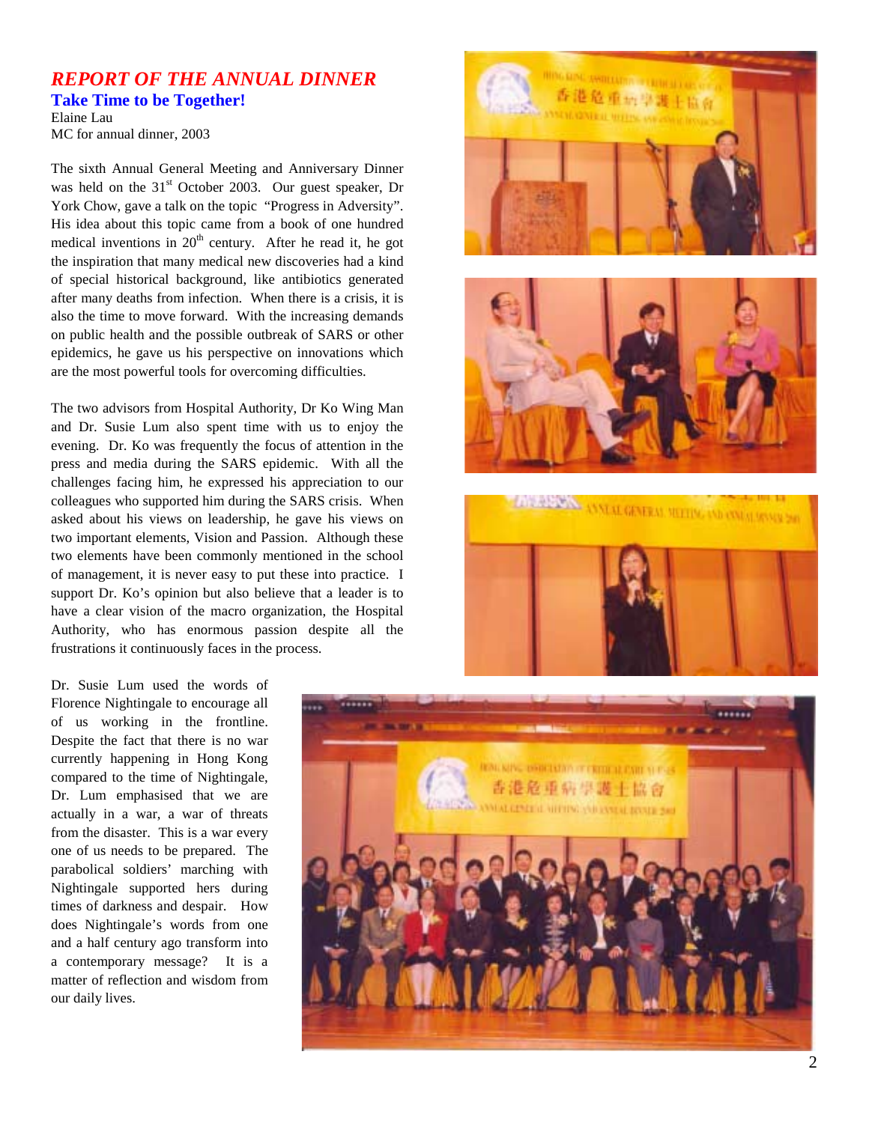## *REPORT OF THE ANNUAL DINNER*

**Take Time to be Together!** 

Elaine Lau MC for annual dinner, 2003

The sixth Annual General Meeting and Anniversary Dinner was held on the 31<sup>st</sup> October 2003. Our guest speaker, Dr York Chow, gave a talk on the topic "Progress in Adversity". His idea about this topic came from a book of one hundred medical inventions in  $20<sup>th</sup>$  century. After he read it, he got the inspiration that many medical new discoveries had a kind of special historical background, like antibiotics generated after many deaths from infection. When there is a crisis, it is also the time to move forward. With the increasing demands on public health and the possible outbreak of SARS or other epidemics, he gave us his perspective on innovations which are the most powerful tools for overcoming difficulties.

The two advisors from Hospital Authority, Dr Ko Wing Man and Dr. Susie Lum also spent time with us to enjoy the evening. Dr. Ko was frequently the focus of attention in the press and media during the SARS epidemic. With all the challenges facing him, he expressed his appreciation to our colleagues who supported him during the SARS crisis. When asked about his views on leadership, he gave his views on two important elements, Vision and Passion. Although these two elements have been commonly mentioned in the school of management, it is never easy to put these into practice. I support Dr. Ko's opinion but also believe that a leader is to have a clear vision of the macro organization, the Hospital Authority, who has enormous passion despite all the frustrations it continuously faces in the process.

Dr. Susie Lum used the words of Florence Nightingale to encourage all of us working in the frontline. Despite the fact that there is no war currently happening in Hong Kong compared to the time of Nightingale, Dr. Lum emphasised that we are actually in a war, a war of threats from the disaster. This is a war every one of us needs to be prepared. The parabolical soldiers' marching with Nightingale supported hers during times of darkness and despair. How does Nightingale's words from one and a half century ago transform into a contemporary message? It is a matter of reflection and wisdom from our daily lives.







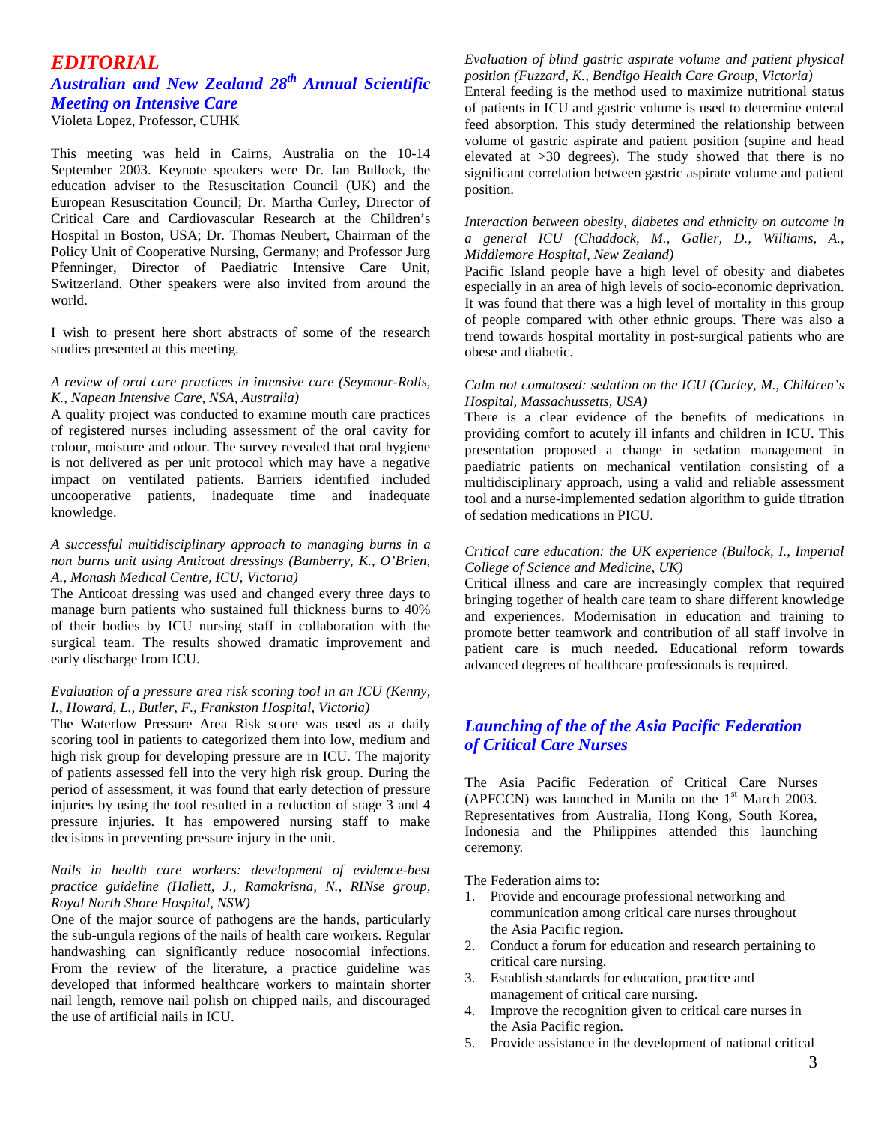## *EDITORIAL*

## *Australian and New Zealand 28th Annual Scientific Meeting on Intensive Care*

Violeta Lopez, Professor, CUHK

This meeting was held in Cairns, Australia on the 10-14 September 2003. Keynote speakers were Dr. Ian Bullock, the education adviser to the Resuscitation Council (UK) and the European Resuscitation Council; Dr. Martha Curley, Director of Critical Care and Cardiovascular Research at the Children's Hospital in Boston, USA; Dr. Thomas Neubert, Chairman of the Policy Unit of Cooperative Nursing, Germany; and Professor Jurg Pfenninger, Director of Paediatric Intensive Care Unit, Switzerland. Other speakers were also invited from around the world.

I wish to present here short abstracts of some of the research studies presented at this meeting.

### *A review of oral care practices in intensive care (Seymour-Rolls, K., Napean Intensive Care, NSA, Australia)*

A quality project was conducted to examine mouth care practices of registered nurses including assessment of the oral cavity for colour, moisture and odour. The survey revealed that oral hygiene is not delivered as per unit protocol which may have a negative impact on ventilated patients. Barriers identified included uncooperative patients, inadequate time and inadequate knowledge.

#### *A successful multidisciplinary approach to managing burns in a non burns unit using Anticoat dressings (Bamberry, K., O'Brien, A., Monash Medical Centre, ICU, Victoria)*

The Anticoat dressing was used and changed every three days to manage burn patients who sustained full thickness burns to 40% of their bodies by ICU nursing staff in collaboration with the surgical team. The results showed dramatic improvement and early discharge from ICU.

#### *Evaluation of a pressure area risk scoring tool in an ICU (Kenny, I., Howard, L., Butler, F., Frankston Hospital, Victoria)*

The Waterlow Pressure Area Risk score was used as a daily scoring tool in patients to categorized them into low, medium and high risk group for developing pressure are in ICU. The majority of patients assessed fell into the very high risk group. During the period of assessment, it was found that early detection of pressure injuries by using the tool resulted in a reduction of stage 3 and 4 pressure injuries. It has empowered nursing staff to make decisions in preventing pressure injury in the unit.

#### *Nails in health care workers: development of evidence-best practice guideline (Hallett, J., Ramakrisna, N., RINse group, Royal North Shore Hospital, NSW)*

One of the major source of pathogens are the hands, particularly the sub-ungula regions of the nails of health care workers. Regular handwashing can significantly reduce nosocomial infections. From the review of the literature, a practice guideline was developed that informed healthcare workers to maintain shorter nail length, remove nail polish on chipped nails, and discouraged the use of artificial nails in ICU.

### *Evaluation of blind gastric aspirate volume and patient physical position (Fuzzard, K., Bendigo Health Care Group, Victoria)*

Enteral feeding is the method used to maximize nutritional status of patients in ICU and gastric volume is used to determine enteral feed absorption. This study determined the relationship between volume of gastric aspirate and patient position (supine and head elevated at >30 degrees). The study showed that there is no significant correlation between gastric aspirate volume and patient position.

#### *Interaction between obesity, diabetes and ethnicity on outcome in a general ICU (Chaddock, M., Galler, D., Williams, A., Middlemore Hospital, New Zealand)*

Pacific Island people have a high level of obesity and diabetes especially in an area of high levels of socio-economic deprivation. It was found that there was a high level of mortality in this group of people compared with other ethnic groups. There was also a trend towards hospital mortality in post-surgical patients who are obese and diabetic.

### *Calm not comatosed: sedation on the ICU (Curley, M., Children's Hospital, Massachussetts, USA)*

There is a clear evidence of the benefits of medications in providing comfort to acutely ill infants and children in ICU. This presentation proposed a change in sedation management in paediatric patients on mechanical ventilation consisting of a multidisciplinary approach, using a valid and reliable assessment tool and a nurse-implemented sedation algorithm to guide titration of sedation medications in PICU.

#### *Critical care education: the UK experience (Bullock, I., Imperial College of Science and Medicine, UK)*

Critical illness and care are increasingly complex that required bringing together of health care team to share different knowledge and experiences. Modernisation in education and training to promote better teamwork and contribution of all staff involve in patient care is much needed. Educational reform towards advanced degrees of healthcare professionals is required.

## *Launching of the of the Asia Pacific Federation of Critical Care Nurses*

The Asia Pacific Federation of Critical Care Nurses (APFCCN) was launched in Manila on the  $1<sup>st</sup>$  March 2003. Representatives from Australia, Hong Kong, South Korea, Indonesia and the Philippines attended this launching ceremony.

The Federation aims to:

- 1. Provide and encourage professional networking and communication among critical care nurses throughout the Asia Pacific region.
- 2. Conduct a forum for education and research pertaining to critical care nursing.
- 3. Establish standards for education, practice and management of critical care nursing.
- 4. Improve the recognition given to critical care nurses in the Asia Pacific region.
- 5. Provide assistance in the development of national critical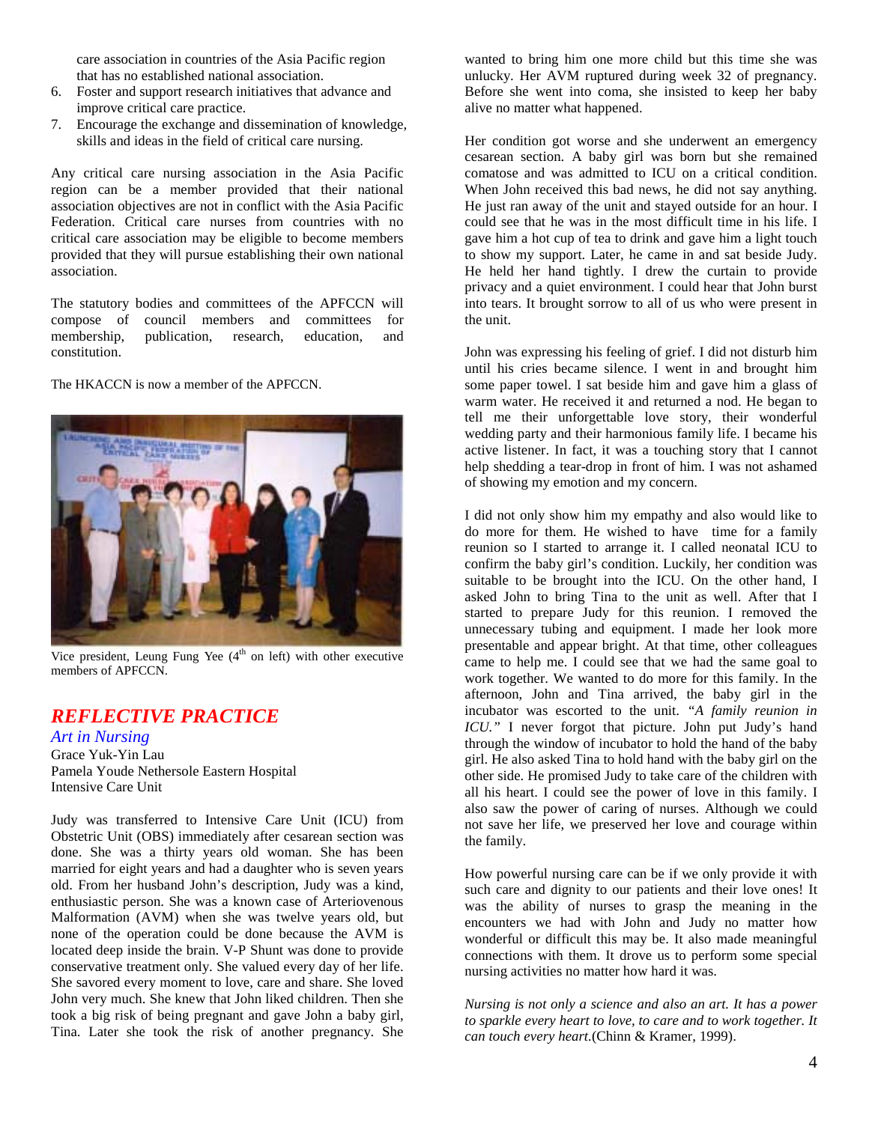care association in countries of the Asia Pacific region that has no established national association.

- 6. Foster and support research initiatives that advance and improve critical care practice.
- 7. Encourage the exchange and dissemination of knowledge, skills and ideas in the field of critical care nursing.

Any critical care nursing association in the Asia Pacific region can be a member provided that their national association objectives are not in conflict with the Asia Pacific Federation. Critical care nurses from countries with no critical care association may be eligible to become members provided that they will pursue establishing their own national association.

The statutory bodies and committees of the APFCCN will compose of council members and committees for membership, publication, research, education, and constitution.

The HKACCN is now a member of the APFCCN.



Vice president, Leung Fung Yee (4<sup>th</sup> on left) with other executive members of APFCCN.

## *REFLECTIVE PRACTICE*

*Art in Nursing*  Grace Yuk-Yin Lau Pamela Youde Nethersole Eastern Hospital Intensive Care Unit

Judy was transferred to Intensive Care Unit (ICU) from Obstetric Unit (OBS) immediately after cesarean section was done. She was a thirty years old woman. She has been married for eight years and had a daughter who is seven years old. From her husband John's description, Judy was a kind, enthusiastic person. She was a known case of Arteriovenous Malformation (AVM) when she was twelve years old, but none of the operation could be done because the AVM is located deep inside the brain. V-P Shunt was done to provide conservative treatment only. She valued every day of her life. She savored every moment to love, care and share. She loved John very much. She knew that John liked children. Then she took a big risk of being pregnant and gave John a baby girl, Tina. Later she took the risk of another pregnancy. She

wanted to bring him one more child but this time she was unlucky. Her AVM ruptured during week 32 of pregnancy. Before she went into coma, she insisted to keep her baby alive no matter what happened.

Her condition got worse and she underwent an emergency cesarean section. A baby girl was born but she remained comatose and was admitted to ICU on a critical condition. When John received this bad news, he did not say anything. He just ran away of the unit and stayed outside for an hour. I could see that he was in the most difficult time in his life. I gave him a hot cup of tea to drink and gave him a light touch to show my support. Later, he came in and sat beside Judy. He held her hand tightly. I drew the curtain to provide privacy and a quiet environment. I could hear that John burst into tears. It brought sorrow to all of us who were present in the unit.

John was expressing his feeling of grief. I did not disturb him until his cries became silence. I went in and brought him some paper towel. I sat beside him and gave him a glass of warm water. He received it and returned a nod. He began to tell me their unforgettable love story, their wonderful wedding party and their harmonious family life. I became his active listener. In fact, it was a touching story that I cannot help shedding a tear-drop in front of him. I was not ashamed of showing my emotion and my concern.

I did not only show him my empathy and also would like to do more for them. He wished to have time for a family reunion so I started to arrange it. I called neonatal ICU to confirm the baby girl's condition. Luckily, her condition was suitable to be brought into the ICU. On the other hand, I asked John to bring Tina to the unit as well. After that I started to prepare Judy for this reunion. I removed the unnecessary tubing and equipment. I made her look more presentable and appear bright. At that time, other colleagues came to help me. I could see that we had the same goal to work together. We wanted to do more for this family. In the afternoon, John and Tina arrived, the baby girl in the incubator was escorted to the unit. *"A family reunion in ICU."* I never forgot that picture. John put Judy's hand through the window of incubator to hold the hand of the baby girl. He also asked Tina to hold hand with the baby girl on the other side. He promised Judy to take care of the children with all his heart. I could see the power of love in this family. I also saw the power of caring of nurses. Although we could not save her life, we preserved her love and courage within the family.

How powerful nursing care can be if we only provide it with such care and dignity to our patients and their love ones! It was the ability of nurses to grasp the meaning in the encounters we had with John and Judy no matter how wonderful or difficult this may be. It also made meaningful connections with them. It drove us to perform some special nursing activities no matter how hard it was.

*Nursing is not only a science and also an art. It has a power to sparkle every heart to love, to care and to work together. It can touch every heart.*(Chinn & Kramer, 1999).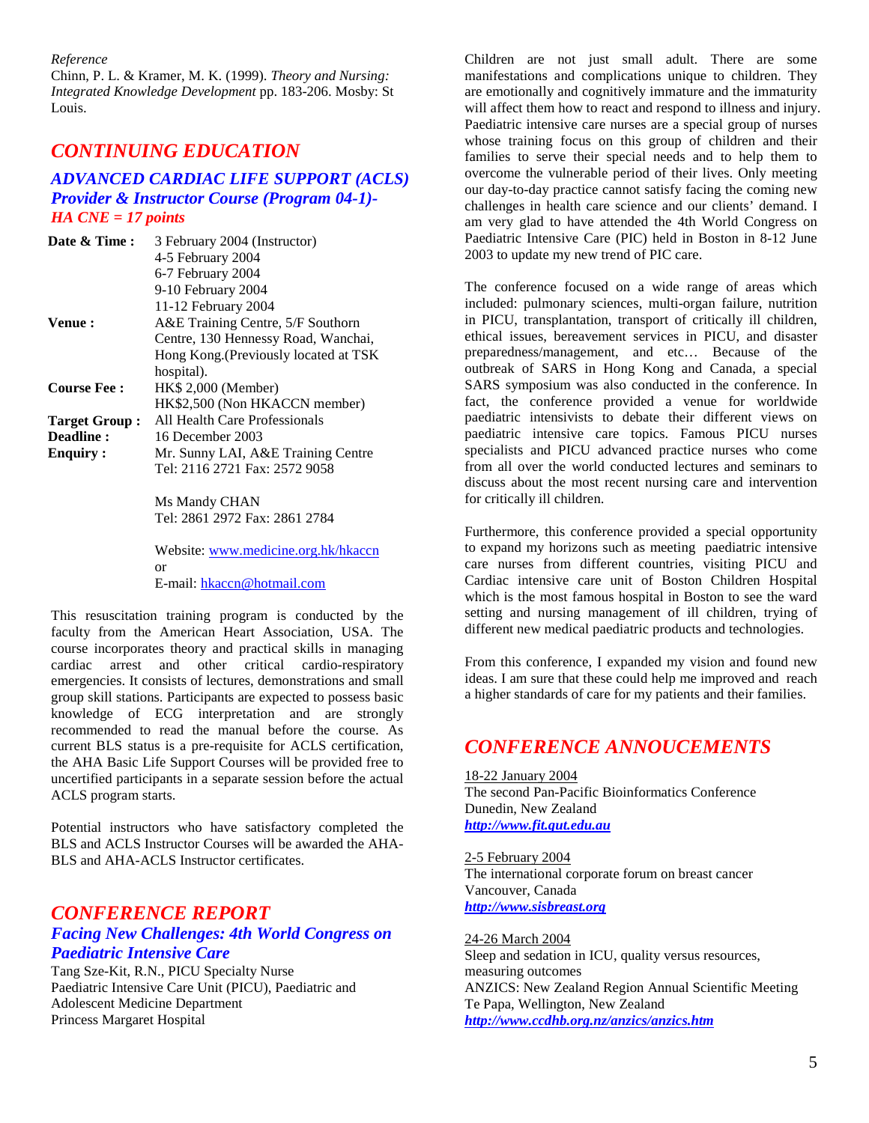*Reference* 

Chinn, P. L. & Kramer, M. K. (1999). *Theory and Nursing: Integrated Knowledge Development* pp. 183-206. Mosby: St Louis.

## *CONTINUING EDUCATION*

### *ADVANCED CARDIAC LIFE SUPPORT (ACLS) Provider & Instructor Course (Program 04-1)- HA CNE = 17 points*

| Date & Time:                                         | 3 February 2004 (Instructor)<br>4-5 February 2004<br>6-7 February 2004<br>9-10 February 2004                                                           |
|------------------------------------------------------|--------------------------------------------------------------------------------------------------------------------------------------------------------|
| Venue:                                               | 11-12 February 2004<br>A&E Training Centre, 5/F Southorn<br>Centre, 130 Hennessy Road, Wanchai,<br>Hong Kong. (Previously located at TSK<br>hospital). |
| <b>Course Fee:</b>                                   | HK\$ 2,000 (Member)<br>HK\$2,500 (Non HKACCN member)                                                                                                   |
| <b>Target Group:</b><br>Deadline:<br><b>Enquiry:</b> | All Health Care Professionals<br>16 December 2003<br>Mr. Sunny LAI, A&E Training Centre                                                                |
|                                                      | Tel: 2116 2721 Fax: 2572 9058                                                                                                                          |

Ms Mandy CHAN Tel: 2861 2972 Fax: 2861 2784

Website: www.medicine.org.hk/hkaccn or E-mail: hkaccn@hotmail.com

This resuscitation training program is conducted by the faculty from the American Heart Association, USA. The course incorporates theory and practical skills in managing cardiac arrest and other critical cardio-respiratory emergencies. It consists of lectures, demonstrations and small group skill stations. Participants are expected to possess basic knowledge of ECG interpretation and are strongly recommended to read the manual before the course. As current BLS status is a pre-requisite for ACLS certification, the AHA Basic Life Support Courses will be provided free to uncertified participants in a separate session before the actual ACLS program starts.

Potential instructors who have satisfactory completed the BLS and ACLS Instructor Courses will be awarded the AHA-BLS and AHA-ACLS Instructor certificates.

## *CONFERENCE REPORT Facing New Challenges: 4th World Congress on Paediatric Intensive Care*

Tang Sze-Kit, R.N., PICU Specialty Nurse Paediatric Intensive Care Unit (PICU), Paediatric and Adolescent Medicine Department Princess Margaret Hospital

Children are not just small adult. There are some manifestations and complications unique to children. They are emotionally and cognitively immature and the immaturity will affect them how to react and respond to illness and injury. Paediatric intensive care nurses are a special group of nurses whose training focus on this group of children and their families to serve their special needs and to help them to overcome the vulnerable period of their lives. Only meeting our day-to-day practice cannot satisfy facing the coming new challenges in health care science and our clients' demand. I am very glad to have attended the 4th World Congress on Paediatric Intensive Care (PIC) held in Boston in 8-12 June 2003 to update my new trend of PIC care.

The conference focused on a wide range of areas which included: pulmonary sciences, multi-organ failure, nutrition in PICU, transplantation, transport of critically ill children, ethical issues, bereavement services in PICU, and disaster preparedness/management, and etc… Because of the outbreak of SARS in Hong Kong and Canada, a special SARS symposium was also conducted in the conference. In fact, the conference provided a venue for worldwide paediatric intensivists to debate their different views on paediatric intensive care topics. Famous PICU nurses specialists and PICU advanced practice nurses who come from all over the world conducted lectures and seminars to discuss about the most recent nursing care and intervention for critically ill children.

Furthermore, this conference provided a special opportunity to expand my horizons such as meeting paediatric intensive care nurses from different countries, visiting PICU and Cardiac intensive care unit of Boston Children Hospital which is the most famous hospital in Boston to see the ward setting and nursing management of ill children, trying of different new medical paediatric products and technologies.

From this conference, I expanded my vision and found new ideas. I am sure that these could help me improved and reach a higher standards of care for my patients and their families.

## *CONFERENCE ANNOUCEMENTS*

18-22 January 2004 The second Pan-Pacific Bioinformatics Conference Dunedin, New Zealand *http://www.fit.qut.edu.au*

2-5 February 2004 The international corporate forum on breast cancer Vancouver, Canada *http://www.sisbreast.org*

24-26 March 2004 Sleep and sedation in ICU, quality versus resources, measuring outcomes ANZICS: New Zealand Region Annual Scientific Meeting Te Papa, Wellington, New Zealand *http://www.ccdhb.org.nz/anzics/anzics.htm*